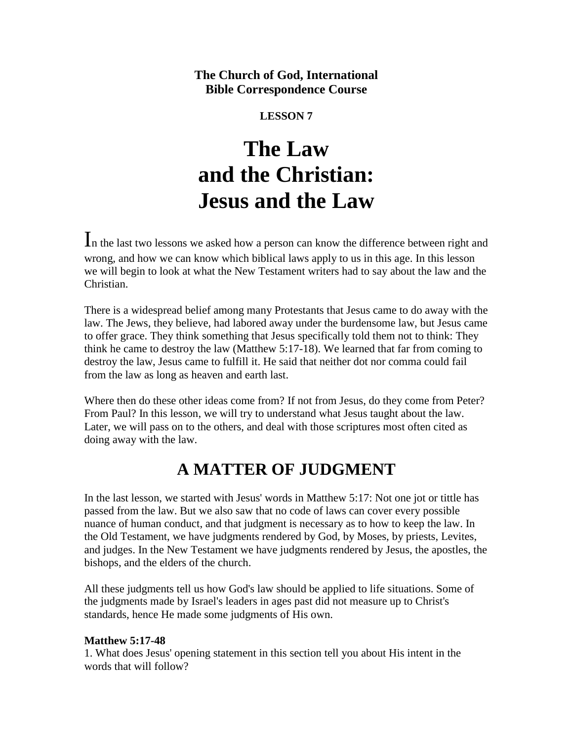## **The Church of God, International Bible Correspondence Course**

### **LESSON 7**

# **The Law and the Christian: Jesus and the Law**

In the last two lessons we asked how a person can know the difference between right and wrong, and how we can know which biblical laws apply to us in this age. In this lesson we will begin to look at what the New Testament writers had to say about the law and the Christian.

There is a widespread belief among many Protestants that Jesus came to do away with the law. The Jews, they believe, had labored away under the burdensome law, but Jesus came to offer grace. They think something that Jesus specifically told them not to think: They think he came to destroy the law (Matthew 5:17-18). We learned that far from coming to destroy the law, Jesus came to fulfill it. He said that neither dot nor comma could fail from the law as long as heaven and earth last.

Where then do these other ideas come from? If not from Jesus, do they come from Peter? From Paul? In this lesson, we will try to understand what Jesus taught about the law. Later, we will pass on to the others, and deal with those scriptures most often cited as doing away with the law.

# **A MATTER OF JUDGMENT**

In the last lesson, we started with Jesus' words in Matthew 5:17: Not one jot or tittle has passed from the law. But we also saw that no code of laws can cover every possible nuance of human conduct, and that judgment is necessary as to how to keep the law. In the Old Testament, we have judgments rendered by God, by Moses, by priests, Levites, and judges. In the New Testament we have judgments rendered by Jesus, the apostles, the bishops, and the elders of the church.

All these judgments tell us how God's law should be applied to life situations. Some of the judgments made by Israel's leaders in ages past did not measure up to Christ's standards, hence He made some judgments of His own.

#### **Matthew 5:17-48**

1. What does Jesus' opening statement in this section tell you about His intent in the words that will follow?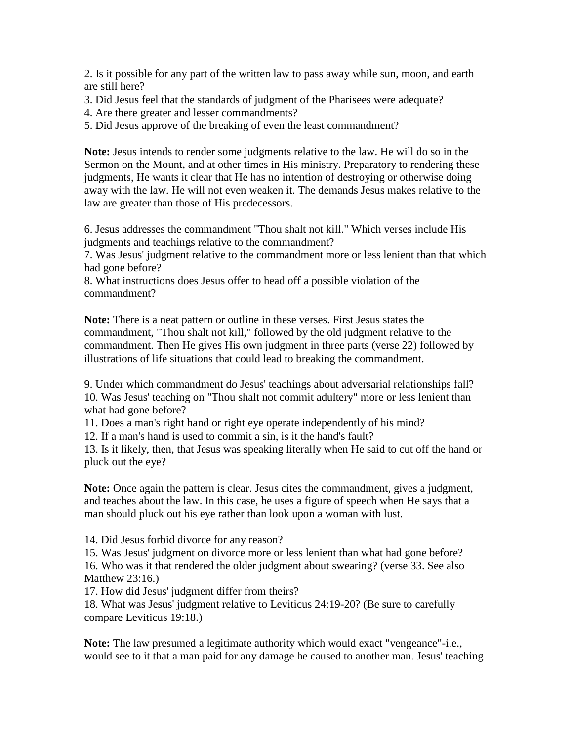2. Is it possible for any part of the written law to pass away while sun, moon, and earth are still here?

3. Did Jesus feel that the standards of judgment of the Pharisees were adequate?

4. Are there greater and lesser commandments?

5. Did Jesus approve of the breaking of even the least commandment?

**Note:** Jesus intends to render some judgments relative to the law. He will do so in the Sermon on the Mount, and at other times in His ministry. Preparatory to rendering these judgments, He wants it clear that He has no intention of destroying or otherwise doing away with the law. He will not even weaken it. The demands Jesus makes relative to the law are greater than those of His predecessors.

6. Jesus addresses the commandment "Thou shalt not kill." Which verses include His judgments and teachings relative to the commandment?

7. Was Jesus' judgment relative to the commandment more or less lenient than that which had gone before?

8. What instructions does Jesus offer to head off a possible violation of the commandment?

**Note:** There is a neat pattern or outline in these verses. First Jesus states the commandment, "Thou shalt not kill," followed by the old judgment relative to the commandment. Then He gives His own judgment in three parts (verse 22) followed by illustrations of life situations that could lead to breaking the commandment.

9. Under which commandment do Jesus' teachings about adversarial relationships fall? 10. Was Jesus' teaching on "Thou shalt not commit adultery" more or less lenient than what had gone before?

11. Does a man's right hand or right eye operate independently of his mind?

12. If a man's hand is used to commit a sin, is it the hand's fault?

13. Is it likely, then, that Jesus was speaking literally when He said to cut off the hand or pluck out the eye?

**Note:** Once again the pattern is clear. Jesus cites the commandment, gives a judgment, and teaches about the law. In this case, he uses a figure of speech when He says that a man should pluck out his eye rather than look upon a woman with lust.

14. Did Jesus forbid divorce for any reason?

15. Was Jesus' judgment on divorce more or less lenient than what had gone before?

16. Who was it that rendered the older judgment about swearing? (verse 33. See also Matthew 23:16.)

17. How did Jesus' judgment differ from theirs?

18. What was Jesus' judgment relative to Leviticus 24:19-20? (Be sure to carefully compare Leviticus 19:18.)

**Note:** The law presumed a legitimate authority which would exact "vengeance"-i.e., would see to it that a man paid for any damage he caused to another man. Jesus' teaching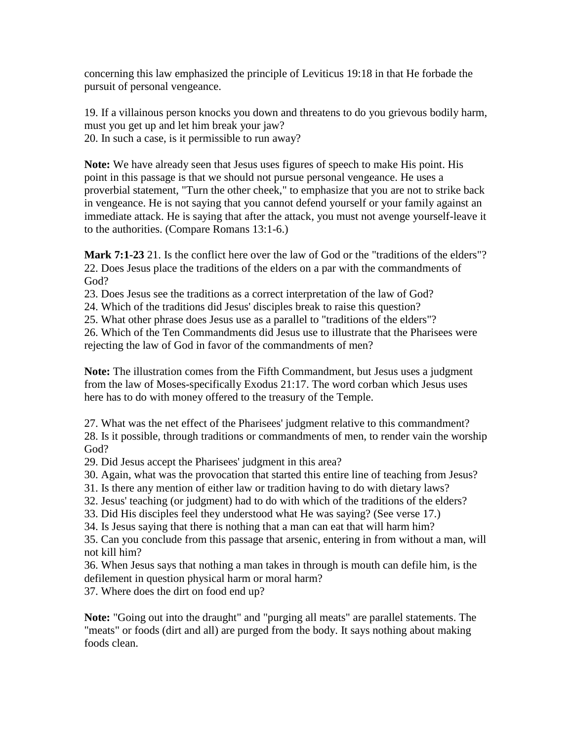concerning this law emphasized the principle of Leviticus 19:18 in that He forbade the pursuit of personal vengeance.

19. If a villainous person knocks you down and threatens to do you grievous bodily harm, must you get up and let him break your jaw? 20. In such a case, is it permissible to run away?

**Note:** We have already seen that Jesus uses figures of speech to make His point. His point in this passage is that we should not pursue personal vengeance. He uses a proverbial statement, "Turn the other cheek," to emphasize that you are not to strike back in vengeance. He is not saying that you cannot defend yourself or your family against an immediate attack. He is saying that after the attack, you must not avenge yourself-leave it to the authorities. (Compare Romans 13:1-6.)

**Mark 7:1-23** 21. Is the conflict here over the law of God or the "traditions of the elders"? 22. Does Jesus place the traditions of the elders on a par with the commandments of God?

23. Does Jesus see the traditions as a correct interpretation of the law of God?

24. Which of the traditions did Jesus' disciples break to raise this question?

25. What other phrase does Jesus use as a parallel to "traditions of the elders"?

26. Which of the Ten Commandments did Jesus use to illustrate that the Pharisees were rejecting the law of God in favor of the commandments of men?

**Note:** The illustration comes from the Fifth Commandment, but Jesus uses a judgment from the law of Moses-specifically Exodus 21:17. The word corban which Jesus uses here has to do with money offered to the treasury of the Temple.

27. What was the net effect of the Pharisees' judgment relative to this commandment? 28. Is it possible, through traditions or commandments of men, to render vain the worship

God?

29. Did Jesus accept the Pharisees' judgment in this area?

30. Again, what was the provocation that started this entire line of teaching from Jesus?

31. Is there any mention of either law or tradition having to do with dietary laws?

32. Jesus' teaching (or judgment) had to do with which of the traditions of the elders?

33. Did His disciples feel they understood what He was saying? (See verse 17.)

34. Is Jesus saying that there is nothing that a man can eat that will harm him?

35. Can you conclude from this passage that arsenic, entering in from without a man, will not kill him?

36. When Jesus says that nothing a man takes in through is mouth can defile him, is the defilement in question physical harm or moral harm?

37. Where does the dirt on food end up?

**Note:** "Going out into the draught" and "purging all meats" are parallel statements. The "meats" or foods (dirt and all) are purged from the body. It says nothing about making foods clean.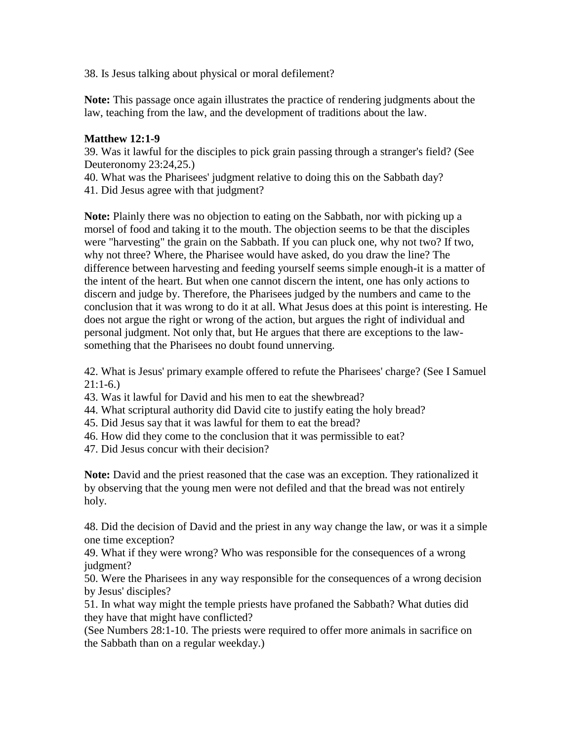38. Is Jesus talking about physical or moral defilement?

**Note:** This passage once again illustrates the practice of rendering judgments about the law, teaching from the law, and the development of traditions about the law.

#### **Matthew 12:1-9**

39. Was it lawful for the disciples to pick grain passing through a stranger's field? (See Deuteronomy 23:24,25.)

40. What was the Pharisees' judgment relative to doing this on the Sabbath day?

41. Did Jesus agree with that judgment?

**Note:** Plainly there was no objection to eating on the Sabbath, nor with picking up a morsel of food and taking it to the mouth. The objection seems to be that the disciples were "harvesting" the grain on the Sabbath. If you can pluck one, why not two? If two, why not three? Where, the Pharisee would have asked, do you draw the line? The difference between harvesting and feeding yourself seems simple enough-it is a matter of the intent of the heart. But when one cannot discern the intent, one has only actions to discern and judge by. Therefore, the Pharisees judged by the numbers and came to the conclusion that it was wrong to do it at all. What Jesus does at this point is interesting. He does not argue the right or wrong of the action, but argues the right of individual and personal judgment. Not only that, but He argues that there are exceptions to the lawsomething that the Pharisees no doubt found unnerving.

42. What is Jesus' primary example offered to refute the Pharisees' charge? (See I Samuel  $21:1-6.$ 

43. Was it lawful for David and his men to eat the shewbread?

44. What scriptural authority did David cite to justify eating the holy bread?

45. Did Jesus say that it was lawful for them to eat the bread?

46. How did they come to the conclusion that it was permissible to eat?

47. Did Jesus concur with their decision?

**Note:** David and the priest reasoned that the case was an exception. They rationalized it by observing that the young men were not defiled and that the bread was not entirely holy.

48. Did the decision of David and the priest in any way change the law, or was it a simple one time exception?

49. What if they were wrong? Who was responsible for the consequences of a wrong judgment?

50. Were the Pharisees in any way responsible for the consequences of a wrong decision by Jesus' disciples?

51. In what way might the temple priests have profaned the Sabbath? What duties did they have that might have conflicted?

(See Numbers 28:1-10. The priests were required to offer more animals in sacrifice on the Sabbath than on a regular weekday.)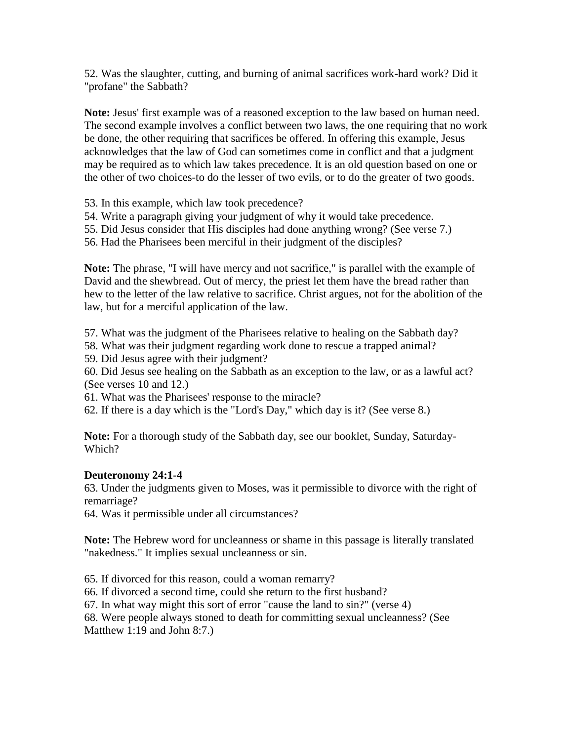52. Was the slaughter, cutting, and burning of animal sacrifices work-hard work? Did it "profane" the Sabbath?

**Note:** Jesus' first example was of a reasoned exception to the law based on human need. The second example involves a conflict between two laws, the one requiring that no work be done, the other requiring that sacrifices be offered. In offering this example, Jesus acknowledges that the law of God can sometimes come in conflict and that a judgment may be required as to which law takes precedence. It is an old question based on one or the other of two choices-to do the lesser of two evils, or to do the greater of two goods.

53. In this example, which law took precedence?

54. Write a paragraph giving your judgment of why it would take precedence.

55. Did Jesus consider that His disciples had done anything wrong? (See verse 7.)

56. Had the Pharisees been merciful in their judgment of the disciples?

**Note:** The phrase, "I will have mercy and not sacrifice," is parallel with the example of David and the shewbread. Out of mercy, the priest let them have the bread rather than hew to the letter of the law relative to sacrifice. Christ argues, not for the abolition of the law, but for a merciful application of the law.

57. What was the judgment of the Pharisees relative to healing on the Sabbath day?

58. What was their judgment regarding work done to rescue a trapped animal?

59. Did Jesus agree with their judgment?

60. Did Jesus see healing on the Sabbath as an exception to the law, or as a lawful act? (See verses 10 and 12.)

61. What was the Pharisees' response to the miracle?

62. If there is a day which is the "Lord's Day," which day is it? (See verse 8.)

**Note:** For a thorough study of the Sabbath day, see our booklet, Sunday, Saturday-Which?

#### **Deuteronomy 24:1-4**

63. Under the judgments given to Moses, was it permissible to divorce with the right of remarriage?

64. Was it permissible under all circumstances?

**Note:** The Hebrew word for uncleanness or shame in this passage is literally translated "nakedness." It implies sexual uncleanness or sin.

65. If divorced for this reason, could a woman remarry?

66. If divorced a second time, could she return to the first husband?

67. In what way might this sort of error "cause the land to sin?" (verse 4)

68. Were people always stoned to death for committing sexual uncleanness? (See Matthew 1:19 and John 8:7.)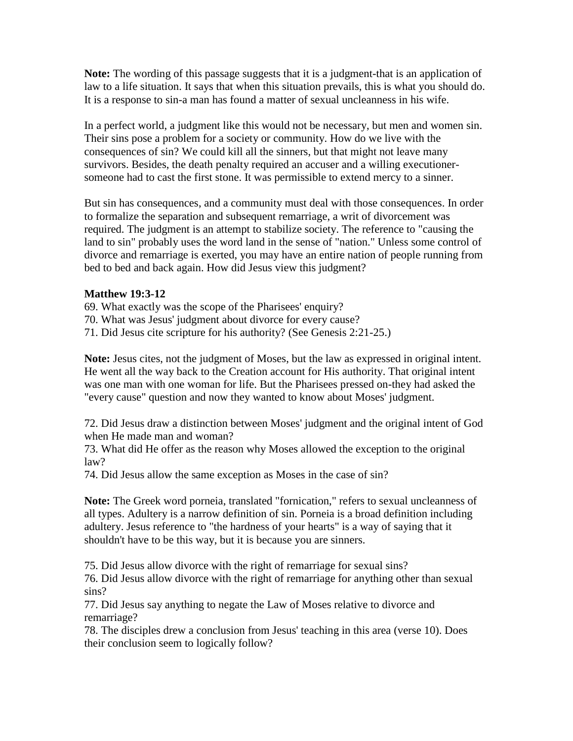**Note:** The wording of this passage suggests that it is a judgment-that is an application of law to a life situation. It says that when this situation prevails, this is what you should do. It is a response to sin-a man has found a matter of sexual uncleanness in his wife.

In a perfect world, a judgment like this would not be necessary, but men and women sin. Their sins pose a problem for a society or community. How do we live with the consequences of sin? We could kill all the sinners, but that might not leave many survivors. Besides, the death penalty required an accuser and a willing executionersomeone had to cast the first stone. It was permissible to extend mercy to a sinner.

But sin has consequences, and a community must deal with those consequences. In order to formalize the separation and subsequent remarriage, a writ of divorcement was required. The judgment is an attempt to stabilize society. The reference to "causing the land to sin" probably uses the word land in the sense of "nation." Unless some control of divorce and remarriage is exerted, you may have an entire nation of people running from bed to bed and back again. How did Jesus view this judgment?

#### **Matthew 19:3-12**

69. What exactly was the scope of the Pharisees' enquiry?

70. What was Jesus' judgment about divorce for every cause?

71. Did Jesus cite scripture for his authority? (See Genesis 2:21-25.)

**Note:** Jesus cites, not the judgment of Moses, but the law as expressed in original intent. He went all the way back to the Creation account for His authority. That original intent was one man with one woman for life. But the Pharisees pressed on-they had asked the "every cause" question and now they wanted to know about Moses' judgment.

72. Did Jesus draw a distinction between Moses' judgment and the original intent of God when He made man and woman?

73. What did He offer as the reason why Moses allowed the exception to the original law?

74. Did Jesus allow the same exception as Moses in the case of sin?

**Note:** The Greek word porneia, translated "fornication," refers to sexual uncleanness of all types. Adultery is a narrow definition of sin. Porneia is a broad definition including adultery. Jesus reference to "the hardness of your hearts" is a way of saying that it shouldn't have to be this way, but it is because you are sinners.

75. Did Jesus allow divorce with the right of remarriage for sexual sins?

76. Did Jesus allow divorce with the right of remarriage for anything other than sexual sins?

77. Did Jesus say anything to negate the Law of Moses relative to divorce and remarriage?

78. The disciples drew a conclusion from Jesus' teaching in this area (verse 10). Does their conclusion seem to logically follow?